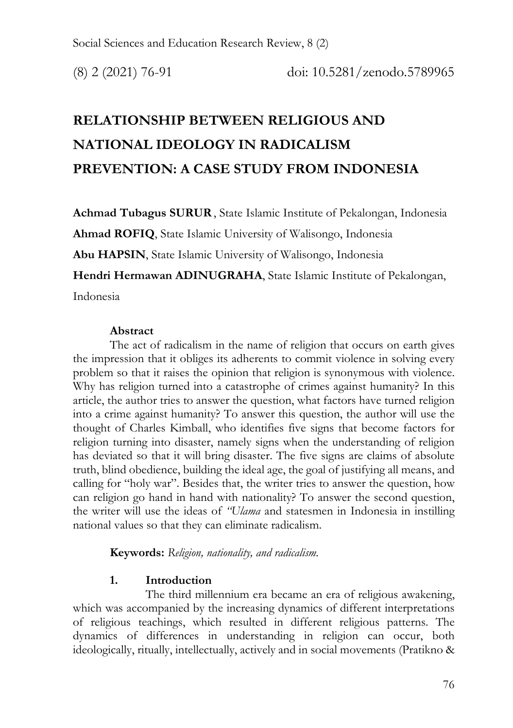# **RELATIONSHIP BETWEEN RELIGIOUS AND NATIONAL IDEOLOGY IN RADICALISM PREVENTION: A CASE STUDY FROM INDONESIA**

**Achmad Tubagus SURUR**, State Islamic Institute of Pekalongan, Indonesia **Ahmad ROFIQ**, State Islamic University of Walisongo, Indonesia **Abu HAPSIN**, State Islamic University of Walisongo, Indonesia **Hendri Hermawan ADINUGRAHA**, State Islamic Institute of Pekalongan, Indonesia

## **Abstract**

The act of radicalism in the name of religion that occurs on earth gives the impression that it obliges its adherents to commit violence in solving every problem so that it raises the opinion that religion is synonymous with violence. Why has religion turned into a catastrophe of crimes against humanity? In this article, the author tries to answer the question, what factors have turned religion into a crime against humanity? To answer this question, the author will use the thought of Charles Kimball, who identifies five signs that become factors for religion turning into disaster, namely signs when the understanding of religion has deviated so that it will bring disaster. The five signs are claims of absolute truth, blind obedience, building the ideal age, the goal of justifying all means, and calling for "holy war". Besides that, the writer tries to answer the question, how can religion go hand in hand with nationality? To answer the second question, the writer will use the ideas of *''Ulama* and statesmen in Indonesia in instilling national values so that they can eliminate radicalism.

**Keywords:** *Religion, nationality, and radicalism.*

## **1. Introduction**

The third millennium era became an era of religious awakening, which was accompanied by the increasing dynamics of different interpretations of religious teachings, which resulted in different religious patterns. The dynamics of differences in understanding in religion can occur, both ideologically, ritually, intellectually, actively and in social movements (Pratikno &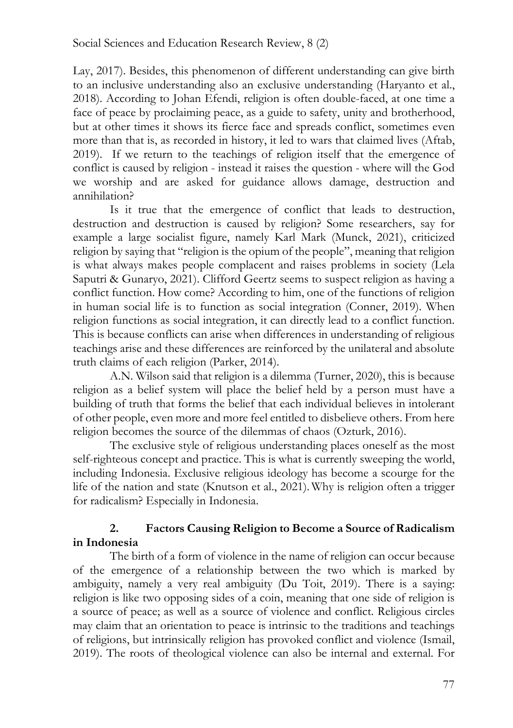Lay, 2017). Besides, this phenomenon of different understanding can give birth to an inclusive understanding also an exclusive understanding (Haryanto et al., 2018). According to Johan Efendi, religion is often double-faced, at one time a face of peace by proclaiming peace, as a guide to safety, unity and brotherhood, but at other times it shows its fierce face and spreads conflict, sometimes even more than that is, as recorded in history, it led to wars that claimed lives (Aftab, 2019). If we return to the teachings of religion itself that the emergence of conflict is caused by religion - instead it raises the question - where will the God we worship and are asked for guidance allows damage, destruction and annihilation?

Is it true that the emergence of conflict that leads to destruction, destruction and destruction is caused by religion? Some researchers, say for example a large socialist figure, namely Karl Mark (Munck, 2021), criticized religion by saying that "religion is the opium of the people", meaning that religion is what always makes people complacent and raises problems in society (Lela Saputri & Gunaryo, 2021). Clifford Geertz seems to suspect religion as having a conflict function. How come? According to him, one of the functions of religion in human social life is to function as social integration (Conner, 2019). When religion functions as social integration, it can directly lead to a conflict function. This is because conflicts can arise when differences in understanding of religious teachings arise and these differences are reinforced by the unilateral and absolute truth claims of each religion (Parker, 2014).

A.N. Wilson said that religion is a dilemma (Turner, 2020), this is because religion as a belief system will place the belief held by a person must have a building of truth that forms the belief that each individual believes in intolerant of other people, even more and more feel entitled to disbelieve others. From here religion becomes the source of the dilemmas of chaos (Ozturk, 2016).

The exclusive style of religious understanding places oneself as the most self-righteous concept and practice. This is what is currently sweeping the world, including Indonesia. Exclusive religious ideology has become a scourge for the life of the nation and state (Knutson et al., 2021). Why is religion often a trigger for radicalism? Especially in Indonesia.

# **2. Factors Causing Religion to Become a Source of Radicalism in Indonesia**

The birth of a form of violence in the name of religion can occur because of the emergence of a relationship between the two which is marked by ambiguity, namely a very real ambiguity (Du Toit, 2019). There is a saying: religion is like two opposing sides of a coin, meaning that one side of religion is a source of peace; as well as a source of violence and conflict. Religious circles may claim that an orientation to peace is intrinsic to the traditions and teachings of religions, but intrinsically religion has provoked conflict and violence (Ismail, 2019). The roots of theological violence can also be internal and external. For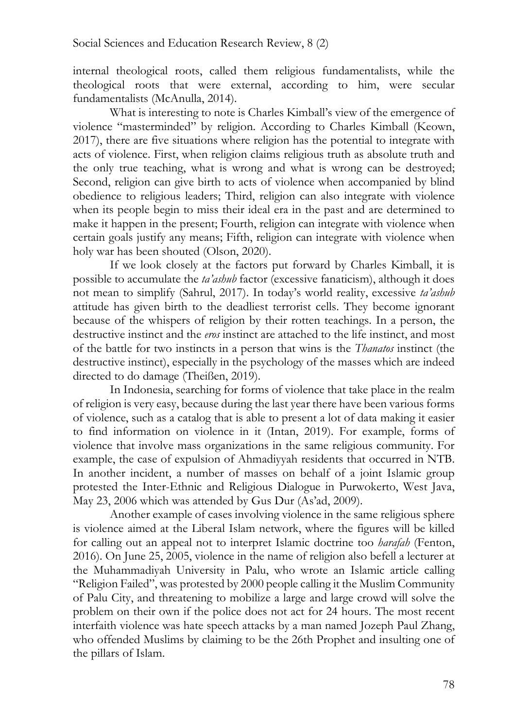internal theological roots, called them religious fundamentalists, while the theological roots that were external, according to him, were secular fundamentalists (McAnulla, 2014).

What is interesting to note is Charles Kimball's view of the emergence of violence "masterminded" by religion. According to Charles Kimball (Keown, 2017), there are five situations where religion has the potential to integrate with acts of violence. First, when religion claims religious truth as absolute truth and the only true teaching, what is wrong and what is wrong can be destroyed; Second, religion can give birth to acts of violence when accompanied by blind obedience to religious leaders; Third, religion can also integrate with violence when its people begin to miss their ideal era in the past and are determined to make it happen in the present; Fourth, religion can integrate with violence when certain goals justify any means; Fifth, religion can integrate with violence when holy war has been shouted (Olson, 2020).

If we look closely at the factors put forward by Charles Kimball, it is possible to accumulate the *ta'ashub* factor (excessive fanaticism), although it does not mean to simplify (Sahrul, 2017). In today's world reality, excessive *ta'ashub* attitude has given birth to the deadliest terrorist cells. They become ignorant because of the whispers of religion by their rotten teachings. In a person, the destructive instinct and the *eros* instinct are attached to the life instinct, and most of the battle for two instincts in a person that wins is the *Thanatos* instinct (the destructive instinct), especially in the psychology of the masses which are indeed directed to do damage (Theißen, 2019).

In Indonesia, searching for forms of violence that take place in the realm of religion is very easy, because during the last year there have been various forms of violence, such as a catalog that is able to present a lot of data making it easier to find information on violence in it (Intan, 2019). For example, forms of violence that involve mass organizations in the same religious community. For example, the case of expulsion of Ahmadiyyah residents that occurred in NTB. In another incident, a number of masses on behalf of a joint Islamic group protested the Inter-Ethnic and Religious Dialogue in Purwokerto, West Java, May 23, 2006 which was attended by Gus Dur (As'ad, 2009).

Another example of cases involving violence in the same religious sphere is violence aimed at the Liberal Islam network, where the figures will be killed for calling out an appeal not to interpret Islamic doctrine too *harafah* (Fenton, 2016). On June 25, 2005, violence in the name of religion also befell a lecturer at the Muhammadiyah University in Palu, who wrote an Islamic article calling "Religion Failed", was protested by 2000 people calling it the Muslim Community of Palu City, and threatening to mobilize a large and large crowd will solve the problem on their own if the police does not act for 24 hours. The most recent interfaith violence was hate speech attacks by a man named Jozeph Paul Zhang, who offended Muslims by claiming to be the 26th Prophet and insulting one of the pillars of Islam.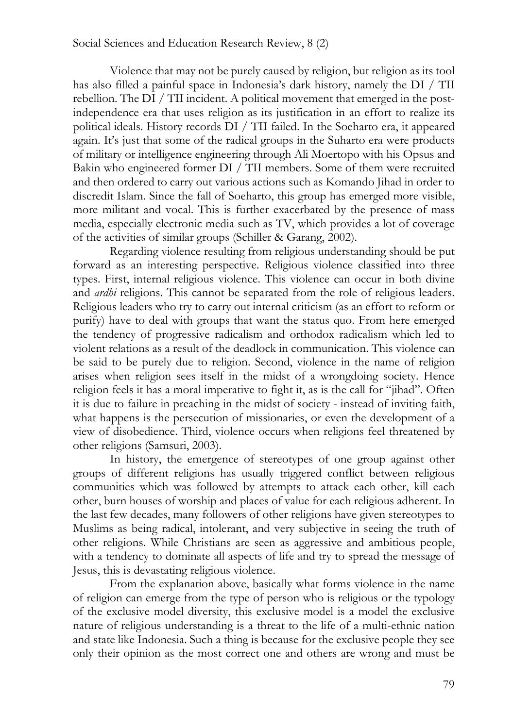#### Social Sciences and Education Research Review, 8 (2)

Violence that may not be purely caused by religion, but religion as its tool has also filled a painful space in Indonesia's dark history, namely the DI / TII rebellion. The DI / TII incident. A political movement that emerged in the postindependence era that uses religion as its justification in an effort to realize its political ideals. History records DI / TII failed. In the Soeharto era, it appeared again. It's just that some of the radical groups in the Suharto era were products of military or intelligence engineering through Ali Moertopo with his Opsus and Bakin who engineered former DI / TII members. Some of them were recruited and then ordered to carry out various actions such as Komando Jihad in order to discredit Islam. Since the fall of Soeharto, this group has emerged more visible, more militant and vocal. This is further exacerbated by the presence of mass media, especially electronic media such as TV, which provides a lot of coverage of the activities of similar groups (Schiller & Garang, 2002).

Regarding violence resulting from religious understanding should be put forward as an interesting perspective. Religious violence classified into three types. First, internal religious violence. This violence can occur in both divine and *ardhi* religions. This cannot be separated from the role of religious leaders. Religious leaders who try to carry out internal criticism (as an effort to reform or purify) have to deal with groups that want the status quo. From here emerged the tendency of progressive radicalism and orthodox radicalism which led to violent relations as a result of the deadlock in communication. This violence can be said to be purely due to religion. Second, violence in the name of religion arises when religion sees itself in the midst of a wrongdoing society. Hence religion feels it has a moral imperative to fight it, as is the call for "jihad". Often it is due to failure in preaching in the midst of society - instead of inviting faith, what happens is the persecution of missionaries, or even the development of a view of disobedience. Third, violence occurs when religions feel threatened by other religions (Samsuri, 2003).

In history, the emergence of stereotypes of one group against other groups of different religions has usually triggered conflict between religious communities which was followed by attempts to attack each other, kill each other, burn houses of worship and places of value for each religious adherent. In the last few decades, many followers of other religions have given stereotypes to Muslims as being radical, intolerant, and very subjective in seeing the truth of other religions. While Christians are seen as aggressive and ambitious people, with a tendency to dominate all aspects of life and try to spread the message of Jesus, this is devastating religious violence.

From the explanation above, basically what forms violence in the name of religion can emerge from the type of person who is religious or the typology of the exclusive model diversity, this exclusive model is a model the exclusive nature of religious understanding is a threat to the life of a multi-ethnic nation and state like Indonesia. Such a thing is because for the exclusive people they see only their opinion as the most correct one and others are wrong and must be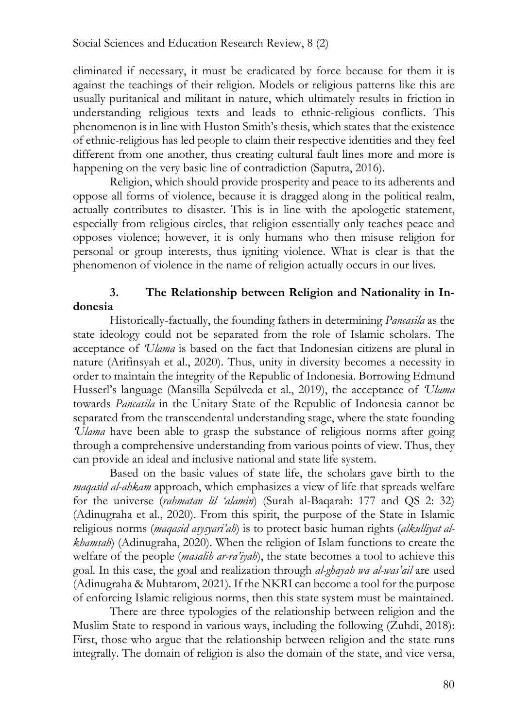eliminated if necessary, it must be eradicated by force because for them it is against the teachings of their religion. Models or religious patterns like this are usually puritanical and militant in nature, which ultimately results in friction in understanding religious texts and leads to ethnic-religious conflicts. This phenomenon is in line with Huston Smith's thesis, which states that the existence of ethnic-religious has led people to claim their respective identities and they feel different from one another, thus creating cultural fault lines more and more is happening on the very basic line of contradiction (Saputra, 2016).

Religion, which should provide prosperity and peace to its adherents and oppose all forms of violence, because it is dragged along in the political realm, actually contributes to disaster. This is in line with the apologetic statement, especially from religious circles, that religion essentially only teaches peace and opposes violence; however, it is only humans who then misuse religion for personal or group interests, thus igniting violence. What is clear is that the phenomenon of violence in the name of religion actually occurs in our lives.

# **3. The Relationship between Religion and Nationality in Indonesia**

Historically-factually, the founding fathers in determining *Pancasila* as the state ideology could not be separated from the role of Islamic scholars. The acceptance of *'Ulama* is based on the fact that Indonesian citizens are plural in nature (Arifinsyah et al., 2020). Thus, unity in diversity becomes a necessity in order to maintain the integrity of the Republic of Indonesia. Borrowing Edmund Husserl's language (Mansilla Sepúlveda et al., 2019), the acceptance of *'Ulama* towards *Pancasila* in the Unitary State of the Republic of Indonesia cannot be separated from the transcendental understanding stage, where the state founding *'Ulama* have been able to grasp the substance of religious norms after going through a comprehensive understanding from various points of view. Thus, they can provide an ideal and inclusive national and state life system.

Based on the basic values of state life, the scholars gave birth to the *maqasid al-ahkam* approach, which emphasizes a view of life that spreads welfare for the universe (*rahmatan lil 'alamin*) (Surah al-Baqarah: 177 and QS 2: 32) (Adinugraha et al., 2020). From this spirit, the purpose of the State in Islamic religious norms (*maqasid asysyari'ah*) is to protect basic human rights (*alkulliyat alkhamsah*) (Adinugraha, 2020). When the religion of Islam functions to create the welfare of the people (*masalih ar-ra'iyah*), the state becomes a tool to achieve this goal. In this case, the goal and realization through *al-ghayah wa al-was'ail* are used (Adinugraha & Muhtarom, 2021). If the NKRI can become a tool for the purpose of enforcing Islamic religious norms, then this state system must be maintained.

There are three typologies of the relationship between religion and the Muslim State to respond in various ways, including the following (Zuhdi, 2018): First, those who argue that the relationship between religion and the state runs integrally. The domain of religion is also the domain of the state, and vice versa,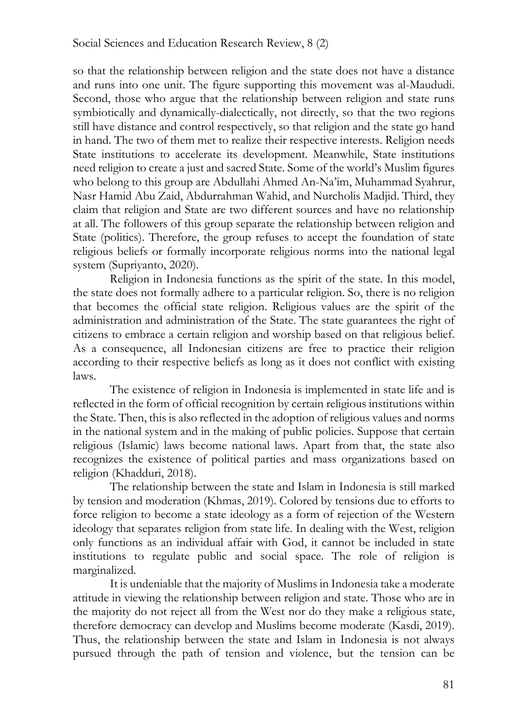so that the relationship between religion and the state does not have a distance and runs into one unit. The figure supporting this movement was al-Maududi. Second, those who argue that the relationship between religion and state runs symbiotically and dynamically-dialectically, not directly, so that the two regions still have distance and control respectively, so that religion and the state go hand in hand. The two of them met to realize their respective interests. Religion needs State institutions to accelerate its development. Meanwhile, State institutions need religion to create a just and sacred State. Some of the world's Muslim figures who belong to this group are Abdullahi Ahmed An-Na'im, Muhammad Syahrur, Nasr Hamid Abu Zaid, Abdurrahman Wahid, and Nurcholis Madjid. Third, they claim that religion and State are two different sources and have no relationship at all. The followers of this group separate the relationship between religion and State (politics). Therefore, the group refuses to accept the foundation of state religious beliefs or formally incorporate religious norms into the national legal system (Supriyanto, 2020).

Religion in Indonesia functions as the spirit of the state. In this model, the state does not formally adhere to a particular religion. So, there is no religion that becomes the official state religion. Religious values are the spirit of the administration and administration of the State. The state guarantees the right of citizens to embrace a certain religion and worship based on that religious belief. As a consequence, all Indonesian citizens are free to practice their religion according to their respective beliefs as long as it does not conflict with existing laws.

The existence of religion in Indonesia is implemented in state life and is reflected in the form of official recognition by certain religious institutions within the State. Then, this is also reflected in the adoption of religious values and norms in the national system and in the making of public policies. Suppose that certain religious (Islamic) laws become national laws. Apart from that, the state also recognizes the existence of political parties and mass organizations based on religion (Khadduri, 2018).

The relationship between the state and Islam in Indonesia is still marked by tension and moderation (Khmas, 2019). Colored by tensions due to efforts to force religion to become a state ideology as a form of rejection of the Western ideology that separates religion from state life. In dealing with the West, religion only functions as an individual affair with God, it cannot be included in state institutions to regulate public and social space. The role of religion is marginalized.

It is undeniable that the majority of Muslims in Indonesia take a moderate attitude in viewing the relationship between religion and state. Those who are in the majority do not reject all from the West nor do they make a religious state, therefore democracy can develop and Muslims become moderate (Kasdi, 2019). Thus, the relationship between the state and Islam in Indonesia is not always pursued through the path of tension and violence, but the tension can be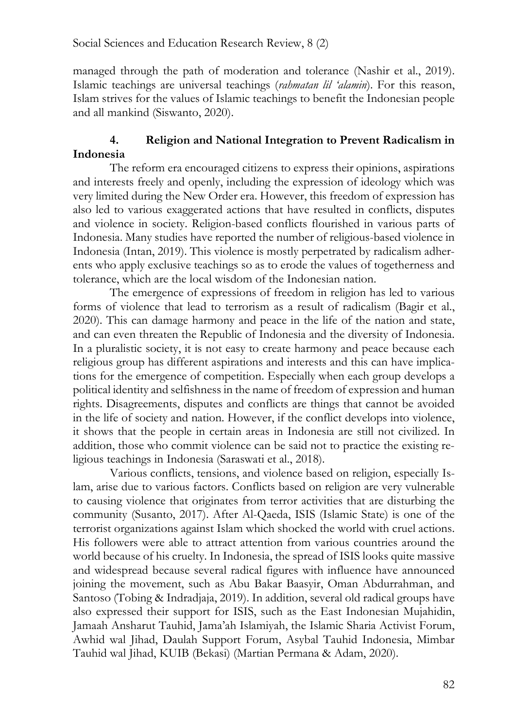managed through the path of moderation and tolerance (Nashir et al., 2019). Islamic teachings are universal teachings (*rahmatan lil 'alamin*). For this reason, Islam strives for the values of Islamic teachings to benefit the Indonesian people and all mankind (Siswanto, 2020).

## **4. Religion and National Integration to Prevent Radicalism in Indonesia**

The reform era encouraged citizens to express their opinions, aspirations and interests freely and openly, including the expression of ideology which was very limited during the New Order era. However, this freedom of expression has also led to various exaggerated actions that have resulted in conflicts, disputes and violence in society. Religion-based conflicts flourished in various parts of Indonesia. Many studies have reported the number of religious-based violence in Indonesia (Intan, 2019). This violence is mostly perpetrated by radicalism adherents who apply exclusive teachings so as to erode the values of togetherness and tolerance, which are the local wisdom of the Indonesian nation.

The emergence of expressions of freedom in religion has led to various forms of violence that lead to terrorism as a result of radicalism (Bagir et al., 2020). This can damage harmony and peace in the life of the nation and state, and can even threaten the Republic of Indonesia and the diversity of Indonesia. In a pluralistic society, it is not easy to create harmony and peace because each religious group has different aspirations and interests and this can have implications for the emergence of competition. Especially when each group develops a political identity and selfishness in the name of freedom of expression and human rights. Disagreements, disputes and conflicts are things that cannot be avoided in the life of society and nation. However, if the conflict develops into violence, it shows that the people in certain areas in Indonesia are still not civilized. In addition, those who commit violence can be said not to practice the existing religious teachings in Indonesia (Saraswati et al., 2018).

Various conflicts, tensions, and violence based on religion, especially Islam, arise due to various factors. Conflicts based on religion are very vulnerable to causing violence that originates from terror activities that are disturbing the community (Susanto, 2017). After Al-Qaeda, ISIS (Islamic State) is one of the terrorist organizations against Islam which shocked the world with cruel actions. His followers were able to attract attention from various countries around the world because of his cruelty. In Indonesia, the spread of ISIS looks quite massive and widespread because several radical figures with influence have announced joining the movement, such as Abu Bakar Baasyir, Oman Abdurrahman, and Santoso (Tobing & Indradjaja, 2019). In addition, several old radical groups have also expressed their support for ISIS, such as the East Indonesian Mujahidin, Jamaah Ansharut Tauhid, Jama'ah Islamiyah, the Islamic Sharia Activist Forum, Awhid wal Jihad, Daulah Support Forum, Asybal Tauhid Indonesia, Mimbar Tauhid wal Jihad, KUIB (Bekasi) (Martian Permana & Adam, 2020).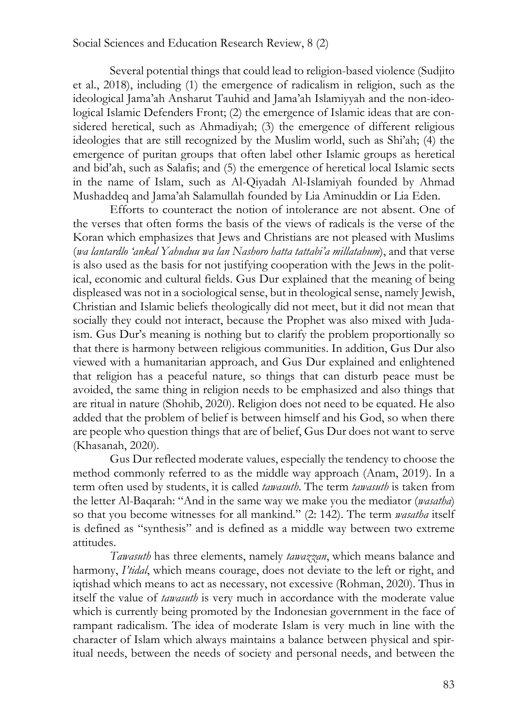#### Social Sciences and Education Research Review, 8 (2)

Several potential things that could lead to religion-based violence (Sudjito et al., 2018), including (1) the emergence of radicalism in religion, such as the ideological Jama'ah Ansharut Tauhid and Jama'ah Islamiyyah and the non-ideological Islamic Defenders Front; (2) the emergence of Islamic ideas that are considered heretical, such as Ahmadiyah; (3) the emergence of different religious ideologies that are still recognized by the Muslim world, such as Shi'ah; (4) the emergence of puritan groups that often label other Islamic groups as heretical and bid'ah, such as Salafis; and (5) the emergence of heretical local Islamic sects in the name of Islam, such as Al-Qiyadah Al-Islamiyah founded by Ahmad Mushaddeq and Jama'ah Salamullah founded by Lia Aminuddin or Lia Eden.

Efforts to counteract the notion of intolerance are not absent. One of the verses that often forms the basis of the views of radicals is the verse of the Koran which emphasizes that Jews and Christians are not pleased with Muslims (*wa lantardlo 'ankal Yahuduu wa lan Nashoro hatta tattabi'a millatahum*), and that verse is also used as the basis for not justifying cooperation with the Jews in the political, economic and cultural fields. Gus Dur explained that the meaning of being displeased was not in a sociological sense, but in theological sense, namely Jewish, Christian and Islamic beliefs theologically did not meet, but it did not mean that socially they could not interact, because the Prophet was also mixed with Judaism. Gus Dur's meaning is nothing but to clarify the problem proportionally so that there is harmony between religious communities. In addition, Gus Dur also viewed with a humanitarian approach, and Gus Dur explained and enlightened that religion has a peaceful nature, so things that can disturb peace must be avoided, the same thing in religion needs to be emphasized and also things that are ritual in nature (Shohib, 2020). Religion does not need to be equated. He also added that the problem of belief is between himself and his God, so when there are people who question things that are of belief, Gus Dur does not want to serve (Khasanah, 2020).

Gus Dur reflected moderate values, especially the tendency to choose the method commonly referred to as the middle way approach (Anam, 2019). In a term often used by students, it is called *tawasuth*. The term *tawasuth* is taken from the letter Al-Baqarah: "And in the same way we make you the mediator (*wasatha*) so that you become witnesses for all mankind." (2: 142). The term *wasatha* itself is defined as "synthesis" and is defined as a middle way between two extreme attitudes.

*Tawasuth* has three elements, namely *tawazzan*, which means balance and harmony, *I'tidal*, which means courage, does not deviate to the left or right, and iqtishad which means to act as necessary, not excessive (Rohman, 2020). Thus in itself the value of *tawasuth* is very much in accordance with the moderate value which is currently being promoted by the Indonesian government in the face of rampant radicalism. The idea of moderate Islam is very much in line with the character of Islam which always maintains a balance between physical and spiritual needs, between the needs of society and personal needs, and between the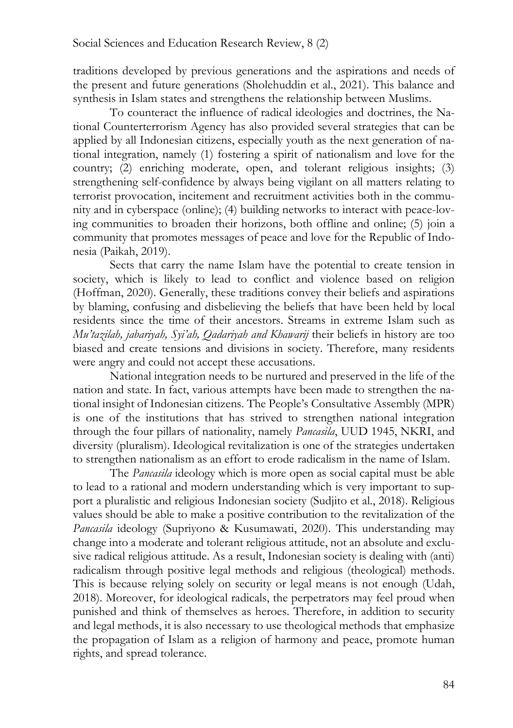traditions developed by previous generations and the aspirations and needs of the present and future generations (Sholehuddin et al., 2021). This balance and synthesis in Islam states and strengthens the relationship between Muslims.

To counteract the influence of radical ideologies and doctrines, the National Counterterrorism Agency has also provided several strategies that can be applied by all Indonesian citizens, especially youth as the next generation of national integration, namely (1) fostering a spirit of nationalism and love for the country; (2) enriching moderate, open, and tolerant religious insights; (3) strengthening self-confidence by always being vigilant on all matters relating to terrorist provocation, incitement and recruitment activities both in the community and in cyberspace (online); (4) building networks to interact with peace-loving communities to broaden their horizons, both offline and online; (5) join a community that promotes messages of peace and love for the Republic of Indonesia (Paikah, 2019).

Sects that carry the name Islam have the potential to create tension in society, which is likely to lead to conflict and violence based on religion (Hoffman, 2020). Generally, these traditions convey their beliefs and aspirations by blaming, confusing and disbelieving the beliefs that have been held by local residents since the time of their ancestors. Streams in extreme Islam such as *Mu'tazilah, jabariyah, Syi'ah, Qadariyah and Khawarij* their beliefs in history are too biased and create tensions and divisions in society. Therefore, many residents were angry and could not accept these accusations.

National integration needs to be nurtured and preserved in the life of the nation and state. In fact, various attempts have been made to strengthen the national insight of Indonesian citizens. The People's Consultative Assembly (MPR) is one of the institutions that has strived to strengthen national integration through the four pillars of nationality, namely *Pancasila*, UUD 1945, NKRI, and diversity (pluralism). Ideological revitalization is one of the strategies undertaken to strengthen nationalism as an effort to erode radicalism in the name of Islam.

The *Pancasila* ideology which is more open as social capital must be able to lead to a rational and modern understanding which is very important to support a pluralistic and religious Indonesian society (Sudjito et al., 2018). Religious values should be able to make a positive contribution to the revitalization of the *Pancasila* ideology (Supriyono & Kusumawati, 2020). This understanding may change into a moderate and tolerant religious attitude, not an absolute and exclusive radical religious attitude. As a result, Indonesian society is dealing with (anti) radicalism through positive legal methods and religious (theological) methods. This is because relying solely on security or legal means is not enough (Udah, 2018). Moreover, for ideological radicals, the perpetrators may feel proud when punished and think of themselves as heroes. Therefore, in addition to security and legal methods, it is also necessary to use theological methods that emphasize the propagation of Islam as a religion of harmony and peace, promote human rights, and spread tolerance.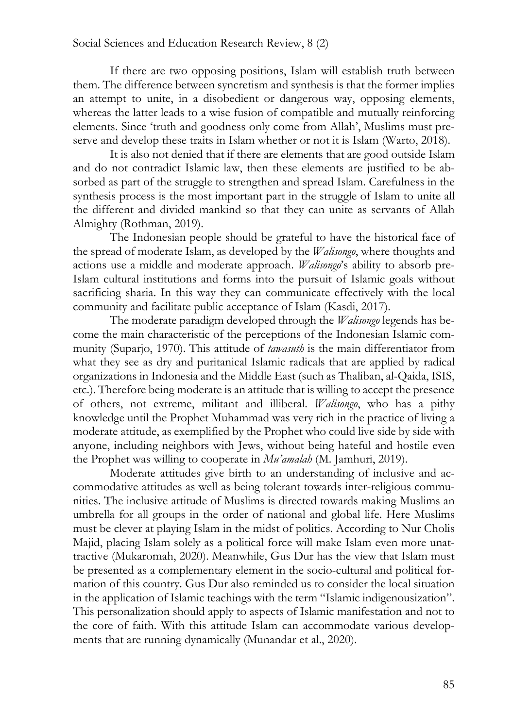If there are two opposing positions, Islam will establish truth between them. The difference between syncretism and synthesis is that the former implies an attempt to unite, in a disobedient or dangerous way, opposing elements, whereas the latter leads to a wise fusion of compatible and mutually reinforcing elements. Since 'truth and goodness only come from Allah', Muslims must preserve and develop these traits in Islam whether or not it is Islam (Warto, 2018).

It is also not denied that if there are elements that are good outside Islam and do not contradict Islamic law, then these elements are justified to be absorbed as part of the struggle to strengthen and spread Islam. Carefulness in the synthesis process is the most important part in the struggle of Islam to unite all the different and divided mankind so that they can unite as servants of Allah Almighty (Rothman, 2019).

The Indonesian people should be grateful to have the historical face of the spread of moderate Islam, as developed by the *Walisongo*, where thoughts and actions use a middle and moderate approach. *Walisongo*'s ability to absorb pre-Islam cultural institutions and forms into the pursuit of Islamic goals without sacrificing sharia. In this way they can communicate effectively with the local community and facilitate public acceptance of Islam (Kasdi, 2017).

The moderate paradigm developed through the *Walisongo* legends has become the main characteristic of the perceptions of the Indonesian Islamic community (Suparjo, 1970). This attitude of *tawasuth* is the main differentiator from what they see as dry and puritanical Islamic radicals that are applied by radical organizations in Indonesia and the Middle East (such as Thaliban, al-Qaida, ISIS, etc.). Therefore being moderate is an attitude that is willing to accept the presence of others, not extreme, militant and illiberal. *Walisongo*, who has a pithy knowledge until the Prophet Muhammad was very rich in the practice of living a moderate attitude, as exemplified by the Prophet who could live side by side with anyone, including neighbors with Jews, without being hateful and hostile even the Prophet was willing to cooperate in *Mu'amalah* (M. Jamhuri, 2019).

Moderate attitudes give birth to an understanding of inclusive and accommodative attitudes as well as being tolerant towards inter-religious communities. The inclusive attitude of Muslims is directed towards making Muslims an umbrella for all groups in the order of national and global life. Here Muslims must be clever at playing Islam in the midst of politics. According to Nur Cholis Majid, placing Islam solely as a political force will make Islam even more unattractive (Mukaromah, 2020). Meanwhile, Gus Dur has the view that Islam must be presented as a complementary element in the socio-cultural and political formation of this country. Gus Dur also reminded us to consider the local situation in the application of Islamic teachings with the term "Islamic indigenousization". This personalization should apply to aspects of Islamic manifestation and not to the core of faith. With this attitude Islam can accommodate various developments that are running dynamically (Munandar et al., 2020).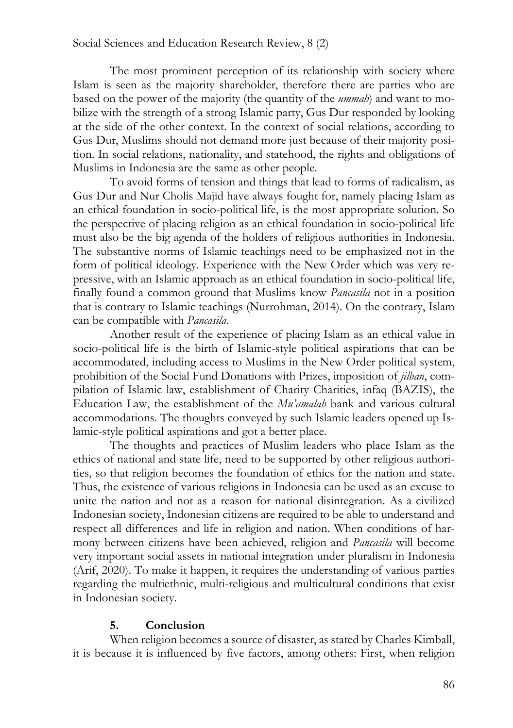The most prominent perception of its relationship with society where Islam is seen as the majority shareholder, therefore there are parties who are based on the power of the majority (the quantity of the *ummah*) and want to mobilize with the strength of a strong Islamic party, Gus Dur responded by looking at the side of the other context. In the context of social relations, according to Gus Dur, Muslims should not demand more just because of their majority position. In social relations, nationality, and statehood, the rights and obligations of Muslims in Indonesia are the same as other people.

To avoid forms of tension and things that lead to forms of radicalism, as Gus Dur and Nur Cholis Majid have always fought for, namely placing Islam as an ethical foundation in socio-political life, is the most appropriate solution. So the perspective of placing religion as an ethical foundation in socio-political life must also be the big agenda of the holders of religious authorities in Indonesia. The substantive norms of Islamic teachings need to be emphasized not in the form of political ideology. Experience with the New Order which was very repressive, with an Islamic approach as an ethical foundation in socio-political life, finally found a common ground that Muslims know *Pancasila* not in a position that is contrary to Islamic teachings (Nurrohman, 2014). On the contrary, Islam can be compatible with *Pancasila*.

Another result of the experience of placing Islam as an ethical value in socio-political life is the birth of Islamic-style political aspirations that can be accommodated, including access to Muslims in the New Order political system, prohibition of the Social Fund Donations with Prizes, imposition of *jilban*, compilation of Islamic law, establishment of Charity Charities, infaq (BAZIS), the Education Law, the establishment of the *Mu'amalah* bank and various cultural accommodations. The thoughts conveyed by such Islamic leaders opened up Islamic-style political aspirations and got a better place.

The thoughts and practices of Muslim leaders who place Islam as the ethics of national and state life, need to be supported by other religious authorities, so that religion becomes the foundation of ethics for the nation and state. Thus, the existence of various religions in Indonesia can be used as an excuse to unite the nation and not as a reason for national disintegration. As a civilized Indonesian society, Indonesian citizens are required to be able to understand and respect all differences and life in religion and nation. When conditions of harmony between citizens have been achieved, religion and *Pancasila* will become very important social assets in national integration under pluralism in Indonesia (Arif, 2020). To make it happen, it requires the understanding of various parties regarding the multiethnic, multi-religious and multicultural conditions that exist in Indonesian society.

## **5. Conclusion**

When religion becomes a source of disaster, as stated by Charles Kimball, it is because it is influenced by five factors, among others: First, when religion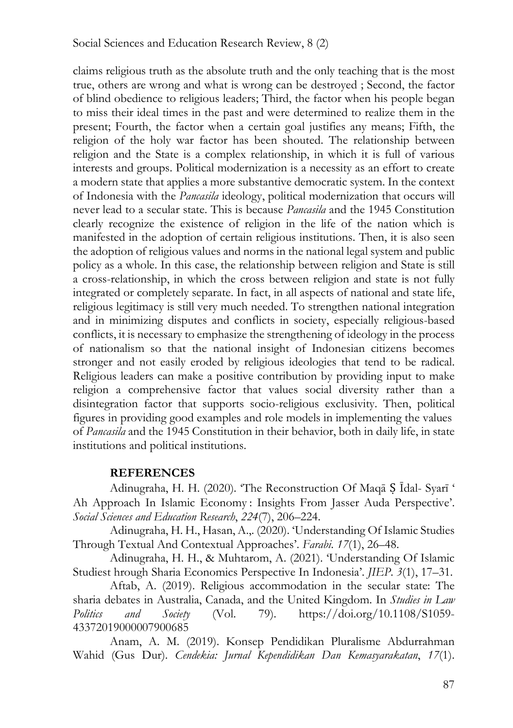claims religious truth as the absolute truth and the only teaching that is the most true, others are wrong and what is wrong can be destroyed ; Second, the factor of blind obedience to religious leaders; Third, the factor when his people began to miss their ideal times in the past and were determined to realize them in the present; Fourth, the factor when a certain goal justifies any means; Fifth, the religion of the holy war factor has been shouted. The relationship between religion and the State is a complex relationship, in which it is full of various interests and groups. Political modernization is a necessity as an effort to create a modern state that applies a more substantive democratic system. In the context of Indonesia with the *Pancasila* ideology, political modernization that occurs will never lead to a secular state. This is because *Pancasila* and the 1945 Constitution clearly recognize the existence of religion in the life of the nation which is manifested in the adoption of certain religious institutions. Then, it is also seen the adoption of religious values and norms in the national legal system and public policy as a whole. In this case, the relationship between religion and State is still a cross-relationship, in which the cross between religion and state is not fully integrated or completely separate. In fact, in all aspects of national and state life, religious legitimacy is still very much needed. To strengthen national integration and in minimizing disputes and conflicts in society, especially religious-based conflicts, it is necessary to emphasize the strengthening of ideology in the process of nationalism so that the national insight of Indonesian citizens becomes stronger and not easily eroded by religious ideologies that tend to be radical. Religious leaders can make a positive contribution by providing input to make religion a comprehensive factor that values social diversity rather than a disintegration factor that supports socio-religious exclusivity. Then, political figures in providing good examples and role models in implementing the values of *Pancasila* and the 1945 Constitution in their behavior, both in daily life, in state institutions and political institutions.

## **REFERENCES**

Adinugraha, H. H. (2020). 'The Reconstruction Of Maqā Ṣ Īdal- Syarī ' Ah Approach In Islamic Economy : Insights From Jasser Auda Perspective'. *Social Sciences and Education Research*, *224*(7), 206–224.

Adinugraha, H. H., Hasan, A.,. (2020). 'Understanding Of Islamic Studies Through Textual And Contextual Approaches'. *Farabi*. *17*(1), 26–48.

Adinugraha, H. H., & Muhtarom, A. (2021). 'Understanding Of Islamic Studiest hrough Sharia Economics Perspective In Indonesia'. *JIEP*. *3*(1), 17–31.

Aftab, A. (2019). Religious accommodation in the secular state: The sharia debates in Australia, Canada, and the United Kingdom. In *Studies in Law Politics and Society* (Vol. 79). https://doi.org/10.1108/S1059- 43372019000007900685

Anam, A. M. (2019). Konsep Pendidikan Pluralisme Abdurrahman Wahid (Gus Dur). *Cendekia: Jurnal Kependidikan Dan Kemasyarakatan*, *17*(1).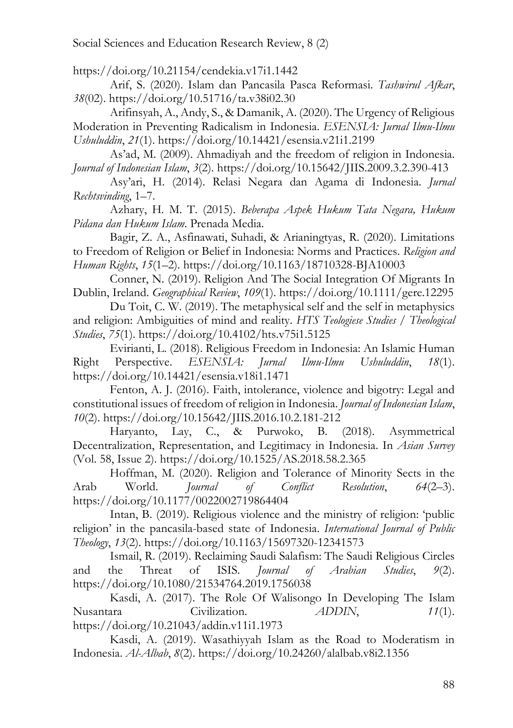Social Sciences and Education Research Review, 8 (2)

https://doi.org/10.21154/cendekia.v17i1.1442

Arif, S. (2020). Islam dan Pancasila Pasca Reformasi. *Tashwirul Afkar*, *38*(02). https://doi.org/10.51716/ta.v38i02.30

Arifinsyah, A., Andy, S., & Damanik, A. (2020). The Urgency of Religious Moderation in Preventing Radicalism in Indonesia. *ESENSIA: Jurnal Ilmu-Ilmu Ushuluddin*, *21*(1). https://doi.org/10.14421/esensia.v21i1.2199

As'ad, M. (2009). Ahmadiyah and the freedom of religion in Indonesia. *Journal of Indonesian Islam*, *3*(2). https://doi.org/10.15642/JIIS.2009.3.2.390-413

Asy'ari, H. (2014). Relasi Negara dan Agama di Indonesia. *Jurnal Rechtsvinding*, 1–7.

Azhary, H. M. T. (2015). *Beberapa Aspek Hukum Tata Negara, Hukum Pidana dan Hukum Islam*. Prenada Media.

Bagir, Z. A., Asfinawati, Suhadi, & Arianingtyas, R. (2020). Limitations to Freedom of Religion or Belief in Indonesia: Norms and Practices. *Religion and Human Rights*, *15*(1–2). https://doi.org/10.1163/18710328-BJA10003

Conner, N. (2019). Religion And The Social Integration Of Migrants In Dublin, Ireland. *Geographical Review*, *109*(1). https://doi.org/10.1111/gere.12295

Du Toit, C. W. (2019). The metaphysical self and the self in metaphysics and religion: Ambiguities of mind and reality. *HTS Teologiese Studies / Theological Studies*, *75*(1). https://doi.org/10.4102/hts.v75i1.5125

Evirianti, L. (2018). Religious Freedom in Indonesia: An Islamic Human Right Perspective. *ESENSIA: Jurnal Ilmu-Ilmu Ushuluddin*, *18*(1). https://doi.org/10.14421/esensia.v18i1.1471

Fenton, A. J. (2016). Faith, intolerance, violence and bigotry: Legal and constitutional issues of freedom of religion in Indonesia. *Journal of Indonesian Islam*, *10*(2). https://doi.org/10.15642/JIIS.2016.10.2.181-212

Haryanto, Lay, C., & Purwoko, B. (2018). Asymmetrical Decentralization, Representation, and Legitimacy in Indonesia. In *Asian Survey* (Vol. 58, Issue 2). https://doi.org/10.1525/AS.2018.58.2.365

Hoffman, M. (2020). Religion and Tolerance of Minority Sects in the Arab World. *Journal of Conflict Resolution*, *64*(2–3). https://doi.org/10.1177/0022002719864404

Intan, B. (2019). Religious violence and the ministry of religion: 'public religion' in the pancasila-based state of Indonesia. *International Journal of Public Theology*, *13*(2). https://doi.org/10.1163/15697320-12341573

Ismail, R. (2019). Reclaiming Saudi Salafism: The Saudi Religious Circles and the Threat of ISIS. *Journal of Arabian Studies*, *9*(2). https://doi.org/10.1080/21534764.2019.1756038

Kasdi, A. (2017). The Role Of Walisongo In Developing The Islam Nusantara Civilization. *ADDIN*, *11*(1). https://doi.org/10.21043/addin.v11i1.1973

Kasdi, A. (2019). Wasathiyyah Islam as the Road to Moderatism in Indonesia. *Al-Albab*, *8*(2). https://doi.org/10.24260/alalbab.v8i2.1356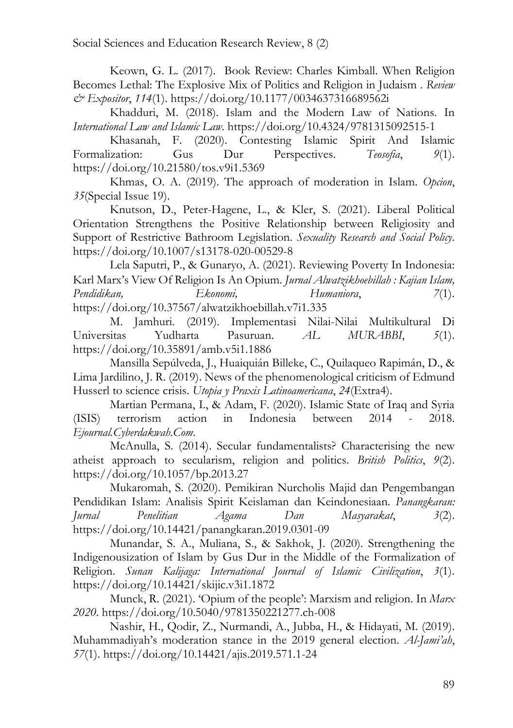Keown, G. L. (2017). Book Review: Charles Kimball. When Religion Becomes Lethal: The Explosive Mix of Politics and Religion in Judaism . *Review & Expositor*, *114*(1). https://doi.org/10.1177/0034637316689562i

Khadduri, M. (2018). Islam and the Modern Law of Nations. In *International Law and Islamic Law*. https://doi.org/10.4324/9781315092515-1

Khasanah, F. (2020). Contesting Islamic Spirit And Islamic Formalization: Gus Dur Perspectives. *Teosofia*, 9(1). https://doi.org/10.21580/tos.v9i1.5369

Khmas, O. A. (2019). The approach of moderation in Islam. *Opcion*, *35*(Special Issue 19).

Knutson, D., Peter-Hagene, L., & Kler, S. (2021). Liberal Political Orientation Strengthens the Positive Relationship between Religiosity and Support of Restrictive Bathroom Legislation. *Sexuality Research and Social Policy*. https://doi.org/10.1007/s13178-020-00529-8

Lela Saputri, P., & Gunaryo, A. (2021). Reviewing Poverty In Indonesia: Karl Marx's View Of Religion Is An Opium. *Jurnal Alwatzikhoebillah : Kajian Islam, Pendidikan, Ekonomi, Humaniora*, *7*(1). https://doi.org/10.37567/alwatzikhoebillah.v7i1.335

M. Jamhuri. (2019). Implementasi Nilai-Nilai Multikultural Di Universitas Yudharta Pasuruan. *AL MURABBI*, *5*(1). https://doi.org/10.35891/amb.v5i1.1886

Mansilla Sepúlveda, J., Huaiquián Billeke, C., Quilaqueo Rapimán, D., & Lima Jardilino, J. R. (2019). News of the phenomenological criticism of Edmund Husserl to science crisis. *Utopia y Praxis Latinoamericana*, *24*(Extra4).

Martian Permana, I., & Adam, F. (2020). Islamic State of Iraq and Syria (ISIS) terrorism action in Indonesia between 2014 - 2018. *Ejournal.Cyberdakwah.Com*.

McAnulla, S. (2014). Secular fundamentalists? Characterising the new atheist approach to secularism, religion and politics. *British Politics*, *9*(2). https://doi.org/10.1057/bp.2013.27

Mukaromah, S. (2020). Pemikiran Nurcholis Majid dan Pengembangan Pendidikan Islam: Analisis Spirit Keislaman dan Keindonesiaan. *Panangkaran: Jurnal Penelitian Agama Dan Masyarakat*, *3*(2). https://doi.org/10.14421/panangkaran.2019.0301-09

Munandar, S. A., Muliana, S., & Sakhok, J. (2020). Strengthening the Indigenousization of Islam by Gus Dur in the Middle of the Formalization of Religion. *Sunan Kalijaga: International Journal of Islamic Civilization*, *3*(1). https://doi.org/10.14421/skijic.v3i1.1872

Munck, R. (2021). 'Opium of the people': Marxism and religion. In *Marx 2020*. https://doi.org/10.5040/9781350221277.ch-008

Nashir, H., Qodir, Z., Nurmandi, A., Jubba, H., & Hidayati, M. (2019). Muhammadiyah's moderation stance in the 2019 general election. *Al-Jami'ah*, *57*(1). https://doi.org/10.14421/ajis.2019.571.1-24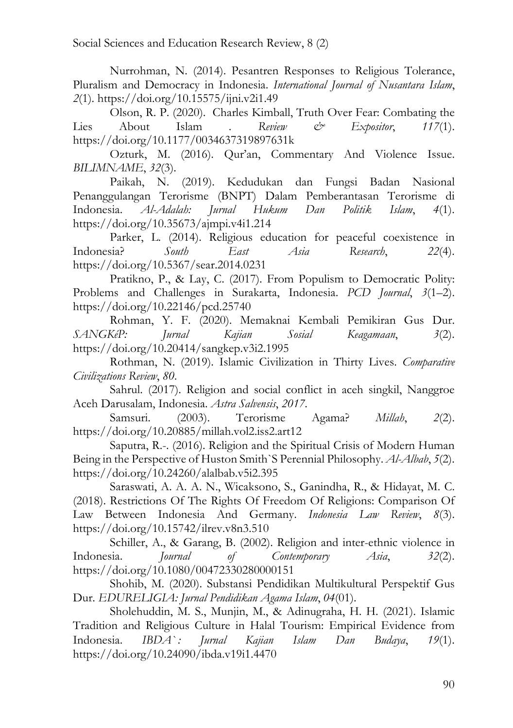Nurrohman, N. (2014). Pesantren Responses to Religious Tolerance, Pluralism and Democracy in Indonesia. *International Journal of Nusantara Islam*, *2*(1). https://doi.org/10.15575/ijni.v2i1.49

Olson, R. P. (2020). Charles Kimball, Truth Over Fear: Combating the Lies About Islam . *Review & Expositor*, *117*(1). https://doi.org/10.1177/0034637319897631k

Ozturk, M. (2016). Qur'an, Commentary And Violence Issue. *BILIMNAME*, *32*(3).

Paikah, N. (2019). Kedudukan dan Fungsi Badan Nasional Penanggulangan Terorisme (BNPT) Dalam Pemberantasan Terorisme di Indonesia. *Al-Adalah: Jurnal Hukum Dan Politik Islam*, *4*(1). https://doi.org/10.35673/ajmpi.v4i1.214

Parker, L. (2014). Religious education for peaceful coexistence in Indonesia? *South East Asia Research*, *22*(4). https://doi.org/10.5367/sear.2014.0231

Pratikno, P., & Lay, C. (2017). From Populism to Democratic Polity: Problems and Challenges in Surakarta, Indonesia. *PCD Journal*, *3*(1–2). https://doi.org/10.22146/pcd.25740

Rohman, Y. F. (2020). Memaknai Kembali Pemikiran Gus Dur. *SANGKéP: Jurnal Kajian Sosial Keagamaan*, *3*(2). https://doi.org/10.20414/sangkep.v3i2.1995

Rothman, N. (2019). Islamic Civilization in Thirty Lives. *Comparative Civilizations Review*, *80*.

Sahrul. (2017). Religion and social conflict in aceh singkil, Nanggroe Aceh Darusalam, Indonesia. *Astra Salvensis*, *2017*.

Samsuri. (2003). Terorisme Agama? *Millah*, *2*(2). https://doi.org/10.20885/millah.vol2.iss2.art12

Saputra, R.-. (2016). Religion and the Spiritual Crisis of Modern Human Being in the Perspective of Huston Smith`S Perennial Philosophy. *Al-Albab*, *5*(2). https://doi.org/10.24260/alalbab.v5i2.395

Saraswati, A. A. A. N., Wicaksono, S., Ganindha, R., & Hidayat, M. C. (2018). Restrictions Of The Rights Of Freedom Of Religions: Comparison Of Law Between Indonesia And Germany. *Indonesia Law Review*, *8*(3). https://doi.org/10.15742/ilrev.v8n3.510

Schiller, A., & Garang, B. (2002). Religion and inter-ethnic violence in Indonesia. *Journal of Contemporary Asia*, *32*(2). https://doi.org/10.1080/00472330280000151

Shohib, M. (2020). Substansi Pendidikan Multikultural Perspektif Gus Dur. *EDURELIGIA: Jurnal Pendidikan Agama Islam*, *04*(01).

Sholehuddin, M. S., Munjin, M., & Adinugraha, H. H. (2021). Islamic Tradition and Religious Culture in Halal Tourism: Empirical Evidence from Indonesia. *IBDA` : Jurnal Kajian Islam Dan Budaya*, *19*(1). https://doi.org/10.24090/ibda.v19i1.4470